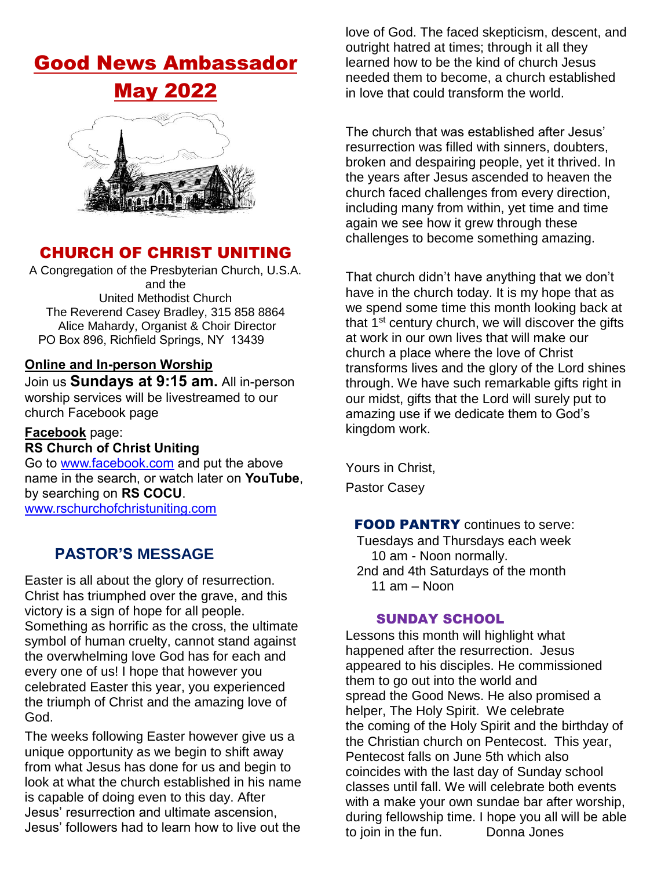# Good News Ambassador



# CHURCH OF CHRIST UNITING

A Congregation of the Presbyterian Church, U.S.A. and the United Methodist Church The Reverend Casey Bradley, 315 858 8864 Alice Mahardy, Organist & Choir Director PO Box 896, Richfield Springs, NY 13439

#### **Online and In-person Worship**

Join us **Sundays at 9:15 am.** All in-person worship services will be livestreamed to our church Facebook page

## **Facebook** page:

# **RS Church of Christ Uniting**

Go to [www.facebook.com](http://www.facebook.com/) and put the above name in the search, or watch later on **YouTube**, by searching on **RS COCU**. [www.rschurchofchristuniting.com](http://www.rschurchofchristuniting.com/)

## **PASTOR'S MESSAGE**

Easter is all about the glory of resurrection. Christ has triumphed over the grave, and this victory is a sign of hope for all people. Something as horrific as the cross, the ultimate symbol of human cruelty, cannot stand against the overwhelming love God has for each and every one of us! I hope that however you celebrated Easter this year, you experienced the triumph of Christ and the amazing love of God.

The weeks following Easter however give us a unique opportunity as we begin to shift away from what Jesus has done for us and begin to look at what the church established in his name is capable of doing even to this day. After Jesus' resurrection and ultimate ascension, Jesus' followers had to learn how to live out the

love of God. The faced skepticism, descent, and outright hatred at times; through it all they learned how to be the kind of church Jesus needed them to become, a church established in love that could transform the world.

The church that was established after Jesus' resurrection was filled with sinners, doubters, broken and despairing people, yet it thrived. In the years after Jesus ascended to heaven the church faced challenges from every direction, including many from within, yet time and time again we see how it grew through these challenges to become something amazing.

That church didn't have anything that we don't have in the church today. It is my hope that as we spend some time this month looking back at that  $1<sup>st</sup>$  century church, we will discover the gifts at work in our own lives that will make our church a place where the love of Christ transforms lives and the glory of the Lord shines through. We have such remarkable gifts right in our midst, gifts that the Lord will surely put to amazing use if we dedicate them to God's kingdom work.

Yours in Christ, Pastor Casey

#### **FOOD PANTRY** continues to serve:

 Tuesdays and Thursdays each week 10 am - Noon normally. 2nd and 4th Saturdays of the month 11 am – Noon

#### SUNDAY SCHOOL

Lessons this month will highlight what happened after the resurrection. Jesus appeared to his disciples. He commissioned them to go out into the world and spread the Good News. He also promised a helper, The Holy Spirit. We celebrate the coming of the Holy Spirit and the birthday of the Christian church on Pentecost. This year, Pentecost falls on June 5th which also coincides with the last day of Sunday school classes until fall. We will celebrate both events with a make your own sundae bar after worship, during fellowship time. I hope you all will be able to join in the fun. Donna Jones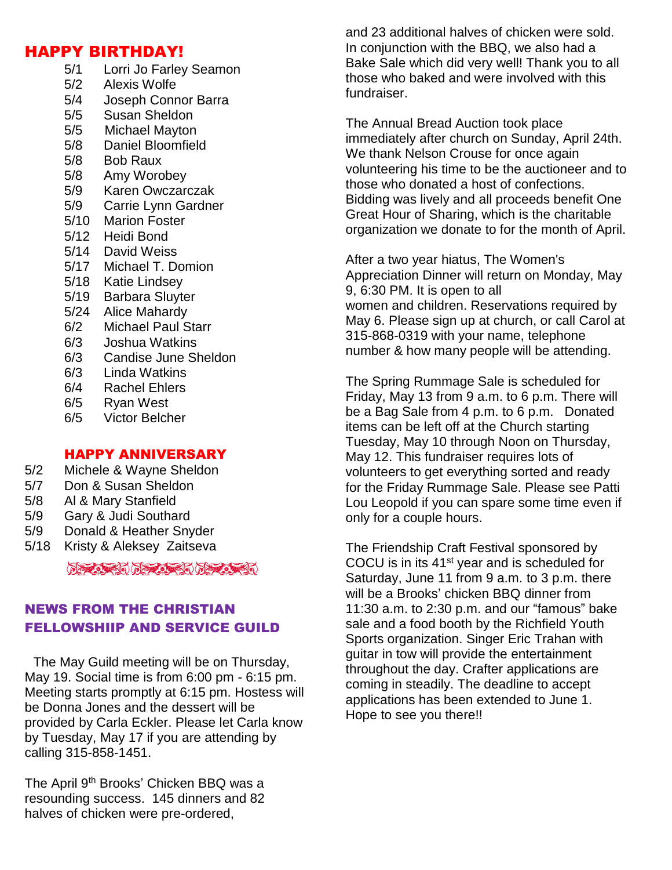### HAPPY BIRTHDAY!

5/1 Lorri Jo Farley Seamon 5/2 Alexis Wolfe 5/4 Joseph Connor Barra 5/5 Susan Sheldon 5/5 Michael Mayton 5/8 Daniel Bloomfield 5/8 Bob Raux 5/8 Amy Worobey 5/9 Karen Owczarczak 5/9 Carrie Lynn Gardner 5/10 Marion Foster 5/12 Heidi Bond 5/14 David Weiss 5/17 Michael T. Domion 5/18 Katie Lindsey 5/19 Barbara Sluyter 5/24 Alice Mahardy 6/2 Michael Paul Starr 6/3 Joshua Watkins 6/3 Candise June Sheldon 6/3 Linda Watkins 6/4 Rachel Ehlers 6/5 Ryan West 6/5 Victor Belcher

#### HAPPY ANNIVERSARY

- 5/2 Michele & Wayne Sheldon
- 5/7 Don & Susan Sheldon
- 5/8 Al & Mary Stanfield
- 5/9 Gary & Judi Southard
- 5/9 Donald & Heather Snyder
- 5/18 Kristy & Aleksey Zaitseva

## NEWS FROM THE CHRISTIAN FELLOWSHIIP AND SERVICE GUILD

 The May Guild meeting will be on Thursday, May 19. Social time is from 6:00 pm - 6:15 pm. Meeting starts promptly at 6:15 pm. Hostess will be Donna Jones and the dessert will be provided by Carla Eckler. Please let Carla know by Tuesday, May 17 if you are attending by calling 315-858-1451.

The April 9<sup>th</sup> Brooks' Chicken BBQ was a resounding success. 145 dinners and 82 halves of chicken were pre-ordered,

and 23 additional halves of chicken were sold. In conjunction with the BBQ, we also had a Bake Sale which did very well! Thank you to all those who baked and were involved with this fundraiser.

The Annual Bread Auction took place immediately after church on Sunday, April 24th. We thank Nelson Crouse for once again volunteering his time to be the auctioneer and to those who donated a host of confections. Bidding was lively and all proceeds benefit One Great Hour of Sharing, which is the charitable organization we donate to for the month of April.

After a two year hiatus, The Women's Appreciation Dinner will return on Monday, May 9, 6:30 PM. It is open to all women and children. Reservations required by May 6. Please sign up at church, or call Carol at 315-868-0319 with your name, telephone number & how many people will be attending.

The Spring Rummage Sale is scheduled for Friday, May 13 from 9 a.m. to 6 p.m. There will be a Bag Sale from 4 p.m. to 6 p.m. Donated items can be left off at the Church starting Tuesday, May 10 through Noon on Thursday, May 12. This fundraiser requires lots of volunteers to get everything sorted and ready for the Friday Rummage Sale. Please see Patti Lou Leopold if you can spare some time even if only for a couple hours.

The Friendship Craft Festival sponsored by COCU is in its 41st year and is scheduled for Saturday, June 11 from 9 a.m. to 3 p.m. there will be a Brooks' chicken BBQ dinner from 11:30 a.m. to 2:30 p.m. and our "famous" bake sale and a food booth by the Richfield Youth Sports organization. Singer Eric Trahan with guitar in tow will provide the entertainment throughout the day. Crafter applications are coming in steadily. The deadline to accept applications has been extended to June 1. Hope to see you there!!